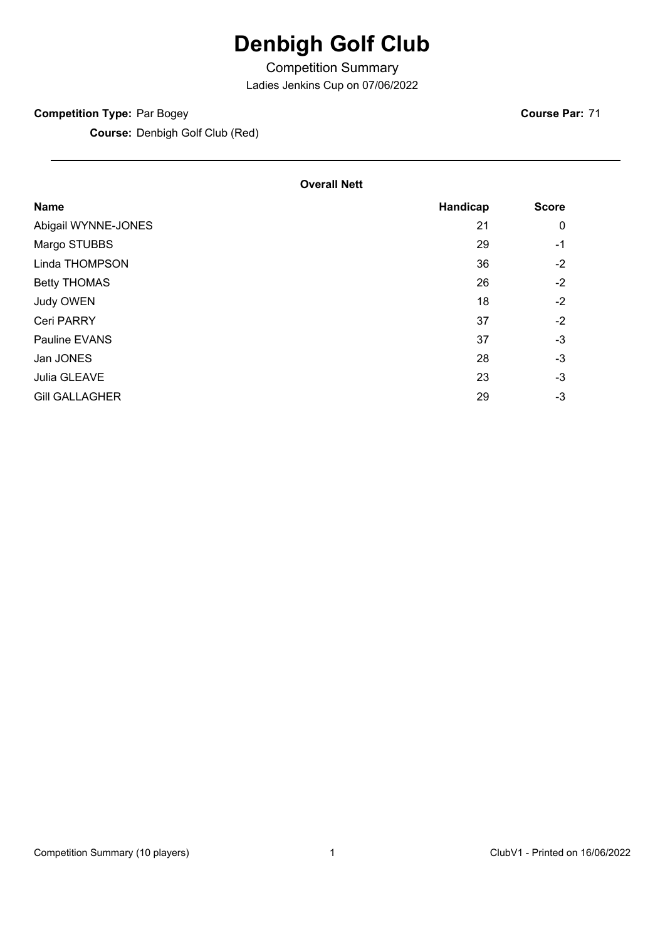## **Denbigh Golf Club**

Competition Summary

Ladies Jenkins Cup on 07/06/2022

#### **Competition Type:** Par Bogey

**Course:** Denbigh Golf Club (Red)

#### **Overall Nett**

| <b>Name</b>           | Handicap | <b>Score</b> |
|-----------------------|----------|--------------|
| Abigail WYNNE-JONES   | 21       | 0            |
| Margo STUBBS          | 29       | -1           |
| Linda THOMPSON        | 36       | $-2$         |
| <b>Betty THOMAS</b>   | 26       | $-2$         |
| Judy OWEN             | 18       | $-2$         |
| <b>Ceri PARRY</b>     | 37       | $-2$         |
| Pauline EVANS         | 37       | $-3$         |
| Jan JONES             | 28       | $-3$         |
| Julia GLEAVE          | 23       | $-3$         |
| <b>Gill GALLAGHER</b> | 29       | $-3$         |
|                       |          |              |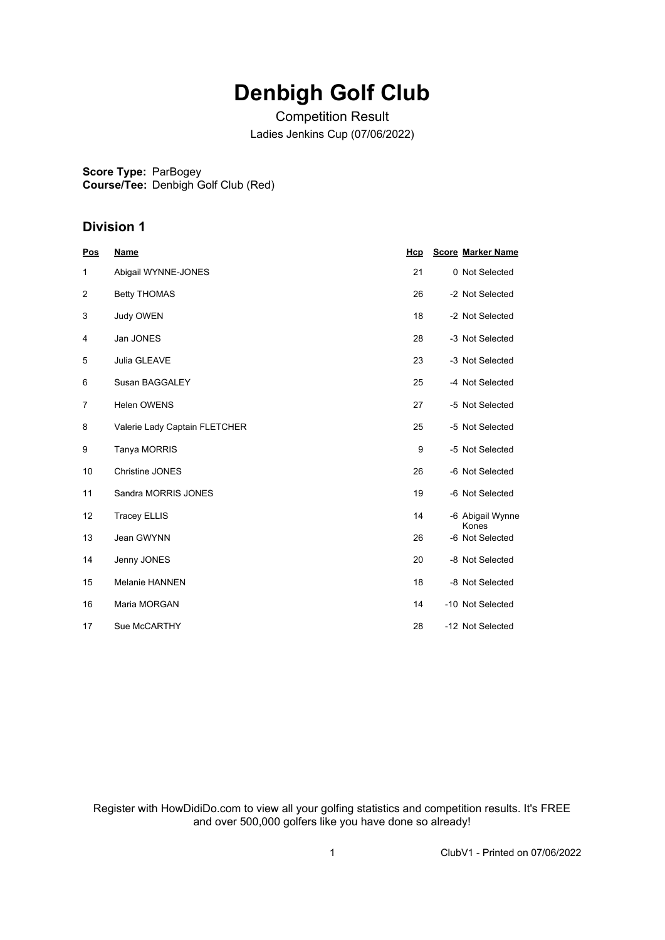## **Denbigh Golf Club**

Competition Result Ladies Jenkins Cup (07/06/2022)

**Score Type:** ParBogey

**Course/Tee:** Denbigh Golf Club (Red)

### **Division 1**

| <u>Pos</u>     | <b>Name</b>                   | Hcp | <b>Score Marker Name</b>  |
|----------------|-------------------------------|-----|---------------------------|
| 1              | Abigail WYNNE-JONES           | 21  | 0 Not Selected            |
| 2              | <b>Betty THOMAS</b>           | 26  | -2 Not Selected           |
| 3              | Judy OWEN                     | 18  | -2 Not Selected           |
| 4              | Jan JONES                     | 28  | -3 Not Selected           |
| 5              | Julia GLEAVE                  | 23  | -3 Not Selected           |
| 6              | Susan BAGGALEY                | 25  | -4 Not Selected           |
| $\overline{7}$ | <b>Helen OWENS</b>            | 27  | -5 Not Selected           |
| 8              | Valerie Lady Captain FLETCHER | 25  | -5 Not Selected           |
| 9              | Tanya MORRIS                  | 9   | -5 Not Selected           |
| 10             | <b>Christine JONES</b>        | 26  | -6 Not Selected           |
| 11             | Sandra MORRIS JONES           | 19  | -6 Not Selected           |
| 12             | <b>Tracey ELLIS</b>           | 14  | -6 Abigail Wynne<br>Kones |
| 13             | Jean GWYNN                    | 26  | -6 Not Selected           |
| 14             | Jenny JONES                   | 20  | -8 Not Selected           |
| 15             | <b>Melanie HANNEN</b>         | 18  | -8 Not Selected           |
| 16             | Maria MORGAN                  | 14  | -10 Not Selected          |
| 17             | Sue McCARTHY                  | 28  | -12 Not Selected          |

Register with HowDidiDo.com to view all your golfing statistics and competition results. It's FREE and over 500,000 golfers like you have done so already!